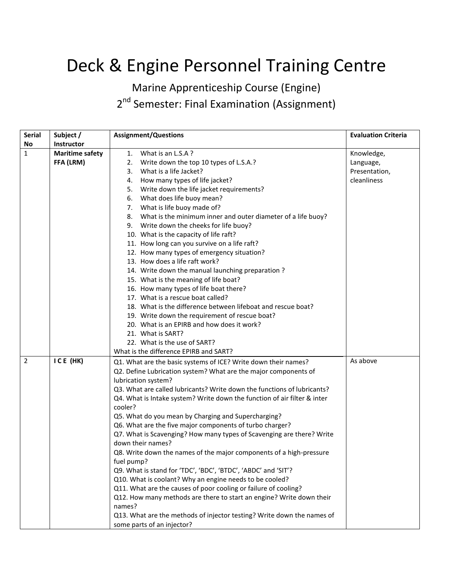## Deck & Engine Personnel Training Centre

Marine Apprenticeship Course (Engine)

2<sup>nd</sup> Semester: Final Examination (Assignment)

| <b>Serial</b>  | Subject /              | <b>Assignment/Questions</b>                                              | <b>Evaluation Criteria</b> |
|----------------|------------------------|--------------------------------------------------------------------------|----------------------------|
| <b>No</b>      | Instructor             |                                                                          |                            |
| 1              | <b>Maritime safety</b> | 1. What is an L.S.A?                                                     | Knowledge,                 |
|                | FFA (LRM)              | 2. Write down the top 10 types of L.S.A.?                                | Language,                  |
|                |                        | 3. What is a life Jacket?                                                | Presentation,              |
|                |                        | How many types of life jacket?<br>4.                                     | cleanliness                |
|                |                        | 5. Write down the life jacket requirements?                              |                            |
|                |                        | 6. What does life buoy mean?                                             |                            |
|                |                        | 7. What is life buoy made of?                                            |                            |
|                |                        | 8. What is the minimum inner and outer diameter of a life buoy?          |                            |
|                |                        | 9. Write down the cheeks for life buoy?                                  |                            |
|                |                        | 10. What is the capacity of life raft?                                   |                            |
|                |                        | 11. How long can you survive on a life raft?                             |                            |
|                |                        | 12. How many types of emergency situation?                               |                            |
|                |                        | 13. How does a life raft work?                                           |                            |
|                |                        | 14. Write down the manual launching preparation?                         |                            |
|                |                        | 15. What is the meaning of life boat?                                    |                            |
|                |                        | 16. How many types of life boat there?                                   |                            |
|                |                        | 17. What is a rescue boat called?                                        |                            |
|                |                        | 18. What is the difference between lifeboat and rescue boat?             |                            |
|                |                        | 19. Write down the requirement of rescue boat?                           |                            |
|                |                        | 20. What is an EPIRB and how does it work?                               |                            |
|                |                        | 21. What is SART?                                                        |                            |
|                |                        | 22. What is the use of SART?                                             |                            |
|                |                        | What is the difference EPIRB and SART?                                   |                            |
| $\overline{2}$ | ICE (HK)               | Q1. What are the basic systems of ICE? Write down their names?           | As above                   |
|                |                        | Q2. Define Lubrication system? What are the major components of          |                            |
|                |                        | lubrication system?                                                      |                            |
|                |                        | Q3. What are called lubricants? Write down the functions of lubricants?  |                            |
|                |                        | Q4. What is Intake system? Write down the function of air filter & inter |                            |
|                |                        | cooler?                                                                  |                            |
|                |                        | Q5. What do you mean by Charging and Supercharging?                      |                            |
|                |                        | Q6. What are the five major components of turbo charger?                 |                            |
|                |                        | Q7. What is Scavenging? How many types of Scavenging are there? Write    |                            |
|                |                        | down their names?                                                        |                            |
|                |                        | Q8. Write down the names of the major components of a high-pressure      |                            |
|                |                        | fuel pump?                                                               |                            |
|                |                        | Q9. What is stand for 'TDC', 'BDC', 'BTDC', 'ABDC' and 'SIT'?            |                            |
|                |                        | Q10. What is coolant? Why an engine needs to be cooled?                  |                            |
|                |                        | Q11. What are the causes of poor cooling or failure of cooling?          |                            |
|                |                        | Q12. How many methods are there to start an engine? Write down their     |                            |
|                |                        | names?                                                                   |                            |
|                |                        | Q13. What are the methods of injector testing? Write down the names of   |                            |
|                |                        | some parts of an injector?                                               |                            |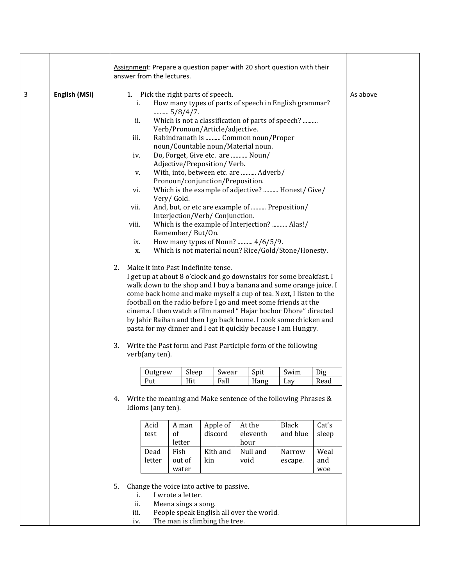|                |               | Assignment: Prepare a question paper with 20 short question with their<br>answer from the lectures.                                                                                                 |                                                                                                                                                                                                                                                                                                                                                                                                                                                                                                                                                                                                                                                                                                                                                                                                                                                                                                                                                                                                                                                                                                                                                                                                                                                                                                                                                                    |                         |               |  |              |                   |                    |  |
|----------------|---------------|-----------------------------------------------------------------------------------------------------------------------------------------------------------------------------------------------------|--------------------------------------------------------------------------------------------------------------------------------------------------------------------------------------------------------------------------------------------------------------------------------------------------------------------------------------------------------------------------------------------------------------------------------------------------------------------------------------------------------------------------------------------------------------------------------------------------------------------------------------------------------------------------------------------------------------------------------------------------------------------------------------------------------------------------------------------------------------------------------------------------------------------------------------------------------------------------------------------------------------------------------------------------------------------------------------------------------------------------------------------------------------------------------------------------------------------------------------------------------------------------------------------------------------------------------------------------------------------|-------------------------|---------------|--|--------------|-------------------|--------------------|--|
| $\overline{3}$ | English (MSI) | ii.<br>iii.<br>iv.<br>v.<br>vi.<br>vii.<br>viii.<br>ix.<br>X.<br>2.<br>3.<br>verb(any ten).                                                                                                         | 1. Pick the right parts of speech.<br>How many types of parts of speech in English grammar?<br>i.<br>$5/8/4/7$ .<br>Which is not a classification of parts of speech?<br>Verb/Pronoun/Article/adjective.<br>Rabindranath is  Common noun/Proper<br>noun/Countable noun/Material noun.<br>Do, Forget, Give etc. are  Noun/<br>Adjective/Preposition/Verb.<br>With, into, between etc. are  Adverb/<br>Pronoun/conjunction/Preposition.<br>Which is the example of adjective?  Honest/ Give/<br>Very/Gold.<br>And, but, or etc are example of  Preposition/<br>Interjection/Verb/ Conjunction.<br>Which is the example of Interjection?  Alas!/<br>Remember/But/On.<br>How many types of Noun?  4/6/5/9.<br>Which is not material noun? Rice/Gold/Stone/Honesty.<br>Make it into Past Indefinite tense.<br>I get up at about 8 o'clock and go downstairs for some breakfast. I<br>walk down to the shop and I buy a banana and some orange juice. I<br>come back home and make myself a cup of tea. Next, I listen to the<br>football on the radio before I go and meet some friends at the<br>cinema. I then watch a film named "Hajar bochor Dhore" directed<br>by Jahir Raihan and then I go back home. I cook some chicken and<br>pasta for my dinner and I eat it quickly because I am Hungry.<br>Write the Past form and Past Participle form of the following |                         |               |  |              |                   | As above           |  |
|                |               |                                                                                                                                                                                                     | Outgrew<br>Put                                                                                                                                                                                                                                                                                                                                                                                                                                                                                                                                                                                                                                                                                                                                                                                                                                                                                                                                                                                                                                                                                                                                                                                                                                                                                                                                                     | Sleep<br>Hit            | Swear<br>Fall |  | Spit<br>Hang | Swim<br>Lay       | Dig<br>Read        |  |
|                |               |                                                                                                                                                                                                     | 4. Write the meaning and Make sentence of the following Phrases &<br>Idioms (any ten).<br>Black<br>Acid<br>A man<br>Apple of<br>At the<br>Cat's<br>of<br>discord<br>eleventh<br>and blue<br>test<br>sleep<br>letter<br>hour<br>Kith and<br>Null and                                                                                                                                                                                                                                                                                                                                                                                                                                                                                                                                                                                                                                                                                                                                                                                                                                                                                                                                                                                                                                                                                                                |                         |               |  |              |                   |                    |  |
|                |               |                                                                                                                                                                                                     | Dead<br>letter                                                                                                                                                                                                                                                                                                                                                                                                                                                                                                                                                                                                                                                                                                                                                                                                                                                                                                                                                                                                                                                                                                                                                                                                                                                                                                                                                     | Fish<br>out of<br>water | kin           |  | void         | Narrow<br>escape. | Weal<br>and<br>woe |  |
|                |               | Change the voice into active to passive.<br>5.<br>I wrote a letter.<br>i.<br>ii.<br>Meena sings a song.<br>People speak English all over the world.<br>iii.<br>The man is climbing the tree.<br>iv. |                                                                                                                                                                                                                                                                                                                                                                                                                                                                                                                                                                                                                                                                                                                                                                                                                                                                                                                                                                                                                                                                                                                                                                                                                                                                                                                                                                    |                         |               |  |              |                   |                    |  |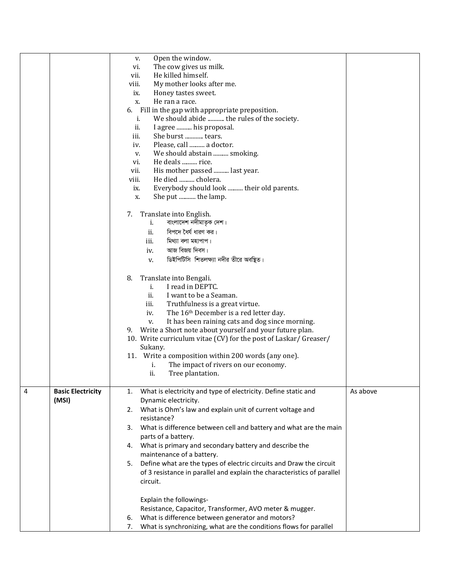|   |                                   | Open the window.<br>v.<br>The cow gives us milk.<br>vi.<br>He killed himself.<br>vii.<br>viii.<br>My mother looks after me.<br>Honey tastes sweet.<br>ix.<br>He ran a race.<br>X.<br>Fill in the gap with appropriate preposition.<br>6.<br>We should abide  the rules of the society.<br>i.<br>ii.<br>I agree  his proposal.<br>iii.<br>She burst  tears.<br>Please, call  a doctor.<br>iv.<br>We should abstain  smoking.<br>V.<br>He deals  rice.<br>vi.<br>vii.<br>His mother passed  last year.<br>viii.<br>He died  cholera.<br>Everybody should look  their old parents.<br>ix.<br>She put  the lamp.<br>X.<br>Translate into English.<br>7.<br>বাংলাদেশ নদীমাতৃক দেশ।<br>i.<br>বিপদে ধৈর্য ধারণ কর।<br>ii.<br>মিথ্যা বলা মহাপাপ।<br>iii.<br>আজ বিজয় দিবস।<br>iv.<br>ডিইপিটিসি শিতলক্ষ্যা নদীর তীরে অবষ্থিত।<br>V.<br>8.<br>Translate into Bengali.<br>I read in DEPTC.<br>i.<br>ii.<br>I want to be a Seaman.<br>iii.<br>Truthfulness is a great virtue.<br>The 16 <sup>th</sup> December is a red letter day.<br>iv.<br>It has been raining cats and dog since morning.<br>V.<br>Write a Short note about yourself and your future plan.<br>9.<br>10. Write curriculum vitae (CV) for the post of Laskar/ Greaser/<br>Sukany.<br>11. Write a composition within 200 words (any one).<br>The impact of rivers on our economy.<br>i.<br>ii.<br>Tree plantation. |          |
|---|-----------------------------------|-------------------------------------------------------------------------------------------------------------------------------------------------------------------------------------------------------------------------------------------------------------------------------------------------------------------------------------------------------------------------------------------------------------------------------------------------------------------------------------------------------------------------------------------------------------------------------------------------------------------------------------------------------------------------------------------------------------------------------------------------------------------------------------------------------------------------------------------------------------------------------------------------------------------------------------------------------------------------------------------------------------------------------------------------------------------------------------------------------------------------------------------------------------------------------------------------------------------------------------------------------------------------------------------------------------------------------------------------------------------------|----------|
| 4 | <b>Basic Electricity</b><br>(MSI) | What is electricity and type of electricity. Define static and<br>1.<br>Dynamic electricity.                                                                                                                                                                                                                                                                                                                                                                                                                                                                                                                                                                                                                                                                                                                                                                                                                                                                                                                                                                                                                                                                                                                                                                                                                                                                            | As above |
|   |                                   | 2. What is Ohm's law and explain unit of current voltage and<br>resistance?                                                                                                                                                                                                                                                                                                                                                                                                                                                                                                                                                                                                                                                                                                                                                                                                                                                                                                                                                                                                                                                                                                                                                                                                                                                                                             |          |
|   |                                   | What is difference between cell and battery and what are the main<br>3.<br>parts of a battery.                                                                                                                                                                                                                                                                                                                                                                                                                                                                                                                                                                                                                                                                                                                                                                                                                                                                                                                                                                                                                                                                                                                                                                                                                                                                          |          |
|   |                                   | 4. What is primary and secondary battery and describe the<br>maintenance of a battery.                                                                                                                                                                                                                                                                                                                                                                                                                                                                                                                                                                                                                                                                                                                                                                                                                                                                                                                                                                                                                                                                                                                                                                                                                                                                                  |          |
|   |                                   | 5. Define what are the types of electric circuits and Draw the circuit<br>of 3 resistance in parallel and explain the characteristics of parallel<br>circuit.                                                                                                                                                                                                                                                                                                                                                                                                                                                                                                                                                                                                                                                                                                                                                                                                                                                                                                                                                                                                                                                                                                                                                                                                           |          |
|   |                                   | Explain the followings-                                                                                                                                                                                                                                                                                                                                                                                                                                                                                                                                                                                                                                                                                                                                                                                                                                                                                                                                                                                                                                                                                                                                                                                                                                                                                                                                                 |          |
|   |                                   | Resistance, Capacitor, Transformer, AVO meter & mugger.<br>What is difference between generator and motors?<br>6.                                                                                                                                                                                                                                                                                                                                                                                                                                                                                                                                                                                                                                                                                                                                                                                                                                                                                                                                                                                                                                                                                                                                                                                                                                                       |          |
|   |                                   | What is synchronizing, what are the conditions flows for parallel<br>7.                                                                                                                                                                                                                                                                                                                                                                                                                                                                                                                                                                                                                                                                                                                                                                                                                                                                                                                                                                                                                                                                                                                                                                                                                                                                                                 |          |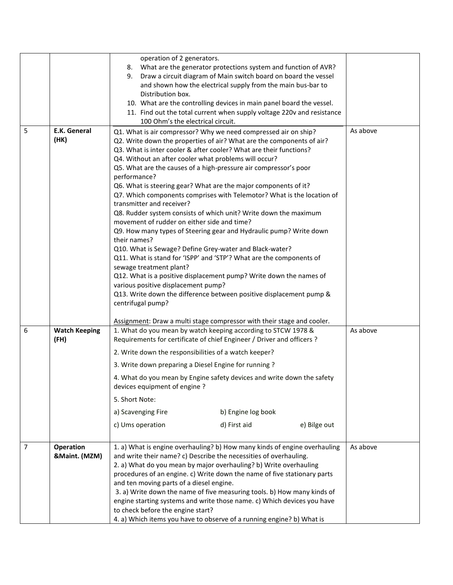|                |                              | operation of 2 generators.<br>What are the generator protections system and function of AVR?<br>8.<br>Draw a circuit diagram of Main switch board on board the vessel<br>9.<br>and shown how the electrical supply from the main bus-bar to<br>Distribution box.<br>10. What are the controlling devices in main panel board the vessel.<br>11. Find out the total current when supply voltage 220v and resistance<br>100 Ohm's the electrical circuit.                                           |          |
|----------------|------------------------------|---------------------------------------------------------------------------------------------------------------------------------------------------------------------------------------------------------------------------------------------------------------------------------------------------------------------------------------------------------------------------------------------------------------------------------------------------------------------------------------------------|----------|
| 5              | <b>E.K. General</b>          | Q1. What is air compressor? Why we need compressed air on ship?                                                                                                                                                                                                                                                                                                                                                                                                                                   | As above |
|                | (HK)                         | Q2. Write down the properties of air? What are the components of air?                                                                                                                                                                                                                                                                                                                                                                                                                             |          |
|                |                              | Q3. What is inter cooler & after cooler? What are their functions?                                                                                                                                                                                                                                                                                                                                                                                                                                |          |
|                |                              | Q4. Without an after cooler what problems will occur?<br>Q5. What are the causes of a high-pressure air compressor's poor                                                                                                                                                                                                                                                                                                                                                                         |          |
|                |                              | performance?                                                                                                                                                                                                                                                                                                                                                                                                                                                                                      |          |
|                |                              | Q6. What is steering gear? What are the major components of it?                                                                                                                                                                                                                                                                                                                                                                                                                                   |          |
|                |                              | Q7. Which components comprises with Telemotor? What is the location of<br>transmitter and receiver?                                                                                                                                                                                                                                                                                                                                                                                               |          |
|                |                              | Q8. Rudder system consists of which unit? Write down the maximum                                                                                                                                                                                                                                                                                                                                                                                                                                  |          |
|                |                              | movement of rudder on either side and time?                                                                                                                                                                                                                                                                                                                                                                                                                                                       |          |
|                |                              | Q9. How many types of Steering gear and Hydraulic pump? Write down<br>their names?                                                                                                                                                                                                                                                                                                                                                                                                                |          |
|                |                              | Q10. What is Sewage? Define Grey-water and Black-water?                                                                                                                                                                                                                                                                                                                                                                                                                                           |          |
|                |                              | Q11. What is stand for 'ISPP' and 'STP'? What are the components of                                                                                                                                                                                                                                                                                                                                                                                                                               |          |
|                |                              | sewage treatment plant?<br>Q12. What is a positive displacement pump? Write down the names of                                                                                                                                                                                                                                                                                                                                                                                                     |          |
|                |                              | various positive displacement pump?                                                                                                                                                                                                                                                                                                                                                                                                                                                               |          |
|                |                              | Q13. Write down the difference between positive displacement pump &<br>centrifugal pump?                                                                                                                                                                                                                                                                                                                                                                                                          |          |
|                |                              |                                                                                                                                                                                                                                                                                                                                                                                                                                                                                                   |          |
|                |                              | Assignment: Draw a multi stage compressor with their stage and cooler.                                                                                                                                                                                                                                                                                                                                                                                                                            |          |
| 6              | <b>Watch Keeping</b><br>(FH) | 1. What do you mean by watch keeping according to STCW 1978 &<br>Requirements for certificate of chief Engineer / Driver and officers ?                                                                                                                                                                                                                                                                                                                                                           | As above |
|                |                              | 2. Write down the responsibilities of a watch keeper?                                                                                                                                                                                                                                                                                                                                                                                                                                             |          |
|                |                              | 3. Write down preparing a Diesel Engine for running ?                                                                                                                                                                                                                                                                                                                                                                                                                                             |          |
|                |                              | 4. What do you mean by Engine safety devices and write down the safety<br>devices equipment of engine?                                                                                                                                                                                                                                                                                                                                                                                            |          |
|                |                              | 5. Short Note:                                                                                                                                                                                                                                                                                                                                                                                                                                                                                    |          |
|                |                              | a) Scavenging Fire<br>b) Engine log book                                                                                                                                                                                                                                                                                                                                                                                                                                                          |          |
|                |                              | c) Ums operation<br>d) First aid<br>e) Bilge out                                                                                                                                                                                                                                                                                                                                                                                                                                                  |          |
| $\overline{7}$ | Operation<br>&Maint. (MZM)   | 1. a) What is engine overhauling? b) How many kinds of engine overhauling<br>and write their name? c) Describe the necessities of overhauling.<br>2. a) What do you mean by major overhauling? b) Write overhauling<br>procedures of an engine. c) Write down the name of five stationary parts<br>and ten moving parts of a diesel engine.<br>3. a) Write down the name of five measuring tools. b) How many kinds of<br>engine starting systems and write those name. c) Which devices you have | As above |
|                |                              | to check before the engine start?<br>4. a) Which items you have to observe of a running engine? b) What is                                                                                                                                                                                                                                                                                                                                                                                        |          |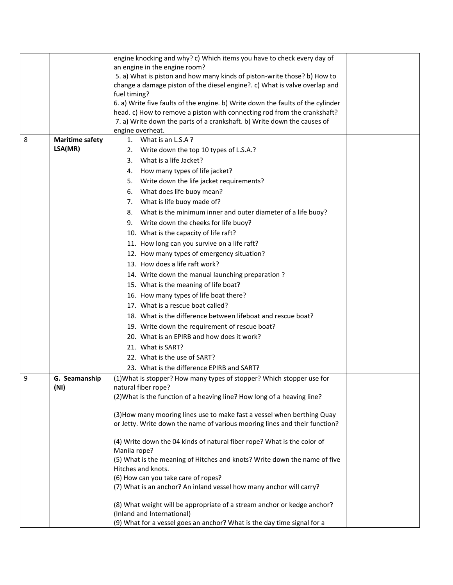|   |                        | engine knocking and why? c) Which items you have to check every day of                  |  |
|---|------------------------|-----------------------------------------------------------------------------------------|--|
|   |                        | an engine in the engine room?                                                           |  |
|   |                        | 5. a) What is piston and how many kinds of piston-write those? b) How to                |  |
|   |                        | change a damage piston of the diesel engine?. c) What is valve overlap and              |  |
|   |                        | fuel timing?                                                                            |  |
|   |                        | 6. a) Write five faults of the engine. b) Write down the faults of the cylinder         |  |
|   |                        | head. c) How to remove a piston with connecting rod from the crankshaft?                |  |
|   |                        | 7. a) Write down the parts of a crankshaft. b) Write down the causes of                 |  |
|   |                        | engine overheat.                                                                        |  |
| 8 | <b>Maritime safety</b> | 1. What is an L.S.A?                                                                    |  |
|   | LSA(MR)                | Write down the top 10 types of L.S.A.?<br>2.                                            |  |
|   |                        | What is a life Jacket?<br>3.                                                            |  |
|   |                        | How many types of life jacket?<br>4.                                                    |  |
|   |                        | Write down the life jacket requirements?<br>5.                                          |  |
|   |                        | What does life buoy mean?<br>6.                                                         |  |
|   |                        | What is life buoy made of?<br>7.                                                        |  |
|   |                        | What is the minimum inner and outer diameter of a life buoy?<br>8.                      |  |
|   |                        | Write down the cheeks for life buoy?<br>9.                                              |  |
|   |                        | 10. What is the capacity of life raft?                                                  |  |
|   |                        | 11. How long can you survive on a life raft?                                            |  |
|   |                        | 12. How many types of emergency situation?                                              |  |
|   |                        | 13. How does a life raft work?                                                          |  |
|   |                        |                                                                                         |  |
|   |                        | 14. Write down the manual launching preparation?                                        |  |
|   |                        | 15. What is the meaning of life boat?                                                   |  |
|   |                        | 16. How many types of life boat there?                                                  |  |
|   |                        | 17. What is a rescue boat called?                                                       |  |
|   |                        | 18. What is the difference between lifeboat and rescue boat?                            |  |
|   |                        | 19. Write down the requirement of rescue boat?                                          |  |
|   |                        | 20. What is an EPIRB and how does it work?                                              |  |
|   |                        | 21. What is SART?                                                                       |  |
|   |                        | 22. What is the use of SART?                                                            |  |
|   |                        | 23. What is the difference EPIRB and SART?                                              |  |
| 9 | G. Seamanship          | (1) What is stopper? How many types of stopper? Which stopper use for                   |  |
|   | (NI)                   | natural fiber rope?                                                                     |  |
|   |                        | (2) What is the function of a heaving line? How long of a heaving line?                 |  |
|   |                        |                                                                                         |  |
|   |                        | (3) How many mooring lines use to make fast a vessel when berthing Quay                 |  |
|   |                        | or Jetty. Write down the name of various mooring lines and their function?              |  |
|   |                        |                                                                                         |  |
|   |                        | (4) Write down the 04 kinds of natural fiber rope? What is the color of<br>Manila rope? |  |
|   |                        | (5) What is the meaning of Hitches and knots? Write down the name of five               |  |
|   |                        | Hitches and knots.                                                                      |  |
|   |                        | (6) How can you take care of ropes?                                                     |  |
|   |                        | (7) What is an anchor? An inland vessel how many anchor will carry?                     |  |
|   |                        |                                                                                         |  |
|   |                        | (8) What weight will be appropriate of a stream anchor or kedge anchor?                 |  |
|   |                        | (Inland and International)                                                              |  |
|   |                        | (9) What for a vessel goes an anchor? What is the day time signal for a                 |  |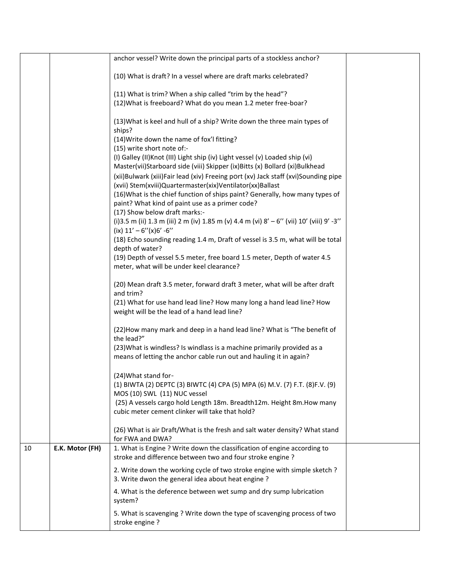|    |                 | anchor vessel? Write down the principal parts of a stockless anchor?                                                                                        |  |
|----|-----------------|-------------------------------------------------------------------------------------------------------------------------------------------------------------|--|
|    |                 | (10) What is draft? In a vessel where are draft marks celebrated?                                                                                           |  |
|    |                 |                                                                                                                                                             |  |
|    |                 | (11) What is trim? When a ship called "trim by the head"?<br>(12) What is freeboard? What do you mean 1.2 meter free-boar?                                  |  |
|    |                 |                                                                                                                                                             |  |
|    |                 | (13) What is keel and hull of a ship? Write down the three main types of<br>ships?                                                                          |  |
|    |                 | (14) Write down the name of fox'l fitting?                                                                                                                  |  |
|    |                 | (15) write short note of:-                                                                                                                                  |  |
|    |                 | (I) Galley (II) Knot (III) Light ship (iv) Light vessel (v) Loaded ship (vi)<br>Master(vii)Starboard side (viii) Skipper (ix)Bitts (x) Bollard (xi)Bulkhead |  |
|    |                 | (xii)Bulwark (xiii)Fair lead (xiv) Freeing port (xv) Jack staff (xvi)Sounding pipe<br>(xvii) Stem(xviii)Quartermaster(xix)Ventilator(xx)Ballast             |  |
|    |                 | (16) What is the chief function of ships paint? Generally, how many types of<br>paint? What kind of paint use as a primer code?                             |  |
|    |                 | (17) Show below draft marks:-                                                                                                                               |  |
|    |                 | (i) 3.5 m (ii) 1.3 m (iii) 2 m (iv) 1.85 m (v) 4.4 m (vi) 8' - 6" (vii) 10' (viii) 9' -3"<br>(ix) $11' - 6''(x)6' - 6''$                                    |  |
|    |                 | (18) Echo sounding reading 1.4 m, Draft of vessel is 3.5 m, what will be total<br>depth of water?                                                           |  |
|    |                 | (19) Depth of vessel 5.5 meter, free board 1.5 meter, Depth of water 4.5                                                                                    |  |
|    |                 | meter, what will be under keel clearance?                                                                                                                   |  |
|    |                 | (20) Mean draft 3.5 meter, forward draft 3 meter, what will be after draft                                                                                  |  |
|    |                 | and trim?                                                                                                                                                   |  |
|    |                 | (21) What for use hand lead line? How many long a hand lead line? How<br>weight will be the lead of a hand lead line?                                       |  |
|    |                 | (22) How many mark and deep in a hand lead line? What is "The benefit of                                                                                    |  |
|    |                 | the lead?"<br>(23) What is windless? Is windlass is a machine primarily provided as a                                                                       |  |
|    |                 | means of letting the anchor cable run out and hauling it in again?                                                                                          |  |
|    |                 | (24) What stand for-                                                                                                                                        |  |
|    |                 | (1) BIWTA (2) DEPTC (3) BIWTC (4) CPA (5) MPA (6) M.V. (7) F.T. (8)F.V. (9)<br>MOS (10) SWL (11) NUC vessel                                                 |  |
|    |                 | (25) A vessels cargo hold Length 18m. Breadth12m. Height 8m. How many                                                                                       |  |
|    |                 | cubic meter cement clinker will take that hold?                                                                                                             |  |
|    |                 | (26) What is air Draft/What is the fresh and salt water density? What stand<br>for FWA and DWA?                                                             |  |
| 10 | E.K. Motor (FH) | 1. What is Engine ? Write down the classification of engine according to<br>stroke and difference between two and four stroke engine ?                      |  |
|    |                 | 2. Write down the working cycle of two stroke engine with simple sketch ?<br>3. Write dwon the general idea about heat engine?                              |  |
|    |                 | 4. What is the deference between wet sump and dry sump lubrication<br>system?                                                                               |  |
|    |                 | 5. What is scavenging ? Write down the type of scavenging process of two<br>stroke engine?                                                                  |  |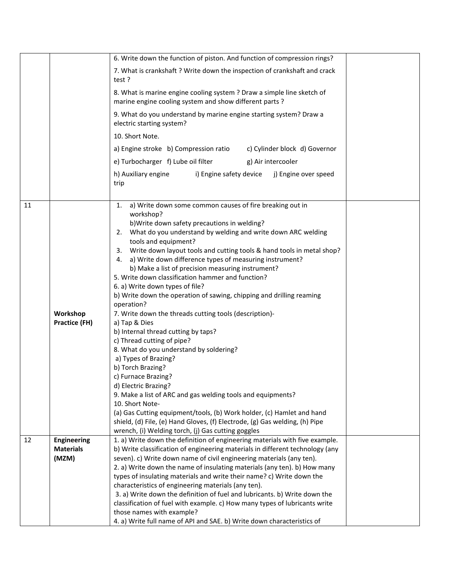|    |                                        | 6. Write down the function of piston. And function of compression rings?                                                                                     |  |
|----|----------------------------------------|--------------------------------------------------------------------------------------------------------------------------------------------------------------|--|
|    |                                        | 7. What is crankshaft ? Write down the inspection of crankshaft and crack<br>test?                                                                           |  |
|    |                                        | 8. What is marine engine cooling system ? Draw a simple line sketch of<br>marine engine cooling system and show different parts?                             |  |
|    |                                        | 9. What do you understand by marine engine starting system? Draw a<br>electric starting system?                                                              |  |
|    |                                        | 10. Short Note.                                                                                                                                              |  |
|    |                                        | a) Engine stroke b) Compression ratio<br>c) Cylinder block d) Governor                                                                                       |  |
|    |                                        | e) Turbocharger f) Lube oil filter<br>g) Air intercooler                                                                                                     |  |
|    |                                        | h) Auxiliary engine<br>i) Engine safety device<br>j) Engine over speed<br>trip                                                                               |  |
| 11 |                                        | 1. a) Write down some common causes of fire breaking out in                                                                                                  |  |
|    |                                        | workshop?<br>b) Write down safety precautions in welding?                                                                                                    |  |
|    |                                        | 2. What do you understand by welding and write down ARC welding                                                                                              |  |
|    |                                        | tools and equipment?                                                                                                                                         |  |
|    |                                        | 3. Write down layout tools and cutting tools & hand tools in metal shop?                                                                                     |  |
|    |                                        | 4. a) Write down difference types of measuring instrument?                                                                                                   |  |
|    |                                        | b) Make a list of precision measuring instrument?<br>5. Write down classification hammer and function?                                                       |  |
|    |                                        | 6. a) Write down types of file?                                                                                                                              |  |
|    |                                        | b) Write down the operation of sawing, chipping and drilling reaming                                                                                         |  |
|    |                                        | operation?                                                                                                                                                   |  |
|    | Workshop                               | 7. Write down the threads cutting tools (description)-                                                                                                       |  |
|    | Practice (FH)                          | a) Tap & Dies                                                                                                                                                |  |
|    |                                        | b) Internal thread cutting by taps?<br>c) Thread cutting of pipe?                                                                                            |  |
|    |                                        | 8. What do you understand by soldering?                                                                                                                      |  |
|    |                                        | a) Types of Brazing?                                                                                                                                         |  |
|    |                                        | b) Torch Brazing?                                                                                                                                            |  |
|    |                                        | c) Furnace Brazing?                                                                                                                                          |  |
|    |                                        | d) Electric Brazing?<br>9. Make a list of ARC and gas welding tools and equipments?                                                                          |  |
|    |                                        | 10. Short Note-                                                                                                                                              |  |
|    |                                        | (a) Gas Cutting equipment/tools, (b) Work holder, (c) Hamlet and hand                                                                                        |  |
|    |                                        | shield, (d) File, (e) Hand Gloves, (f) Electrode, (g) Gas welding, (h) Pipe                                                                                  |  |
|    |                                        | wrench, (i) Welding torch, (j) Gas cutting goggles                                                                                                           |  |
| 12 | <b>Engineering</b><br><b>Materials</b> | 1. a) Write down the definition of engineering materials with five example.<br>b) Write classification of engineering materials in different technology (any |  |
|    | (MZM)                                  | seven). c) Write down name of civil engineering materials (any ten).                                                                                         |  |
|    |                                        | 2. a) Write down the name of insulating materials (any ten). b) How many                                                                                     |  |
|    |                                        | types of insulating materials and write their name? c) Write down the                                                                                        |  |
|    |                                        | characteristics of engineering materials (any ten).                                                                                                          |  |
|    |                                        | 3. a) Write down the definition of fuel and lubricants. b) Write down the                                                                                    |  |
|    |                                        | classification of fuel with example. c) How many types of lubricants write<br>those names with example?                                                      |  |
|    |                                        | 4. a) Write full name of API and SAE. b) Write down characteristics of                                                                                       |  |